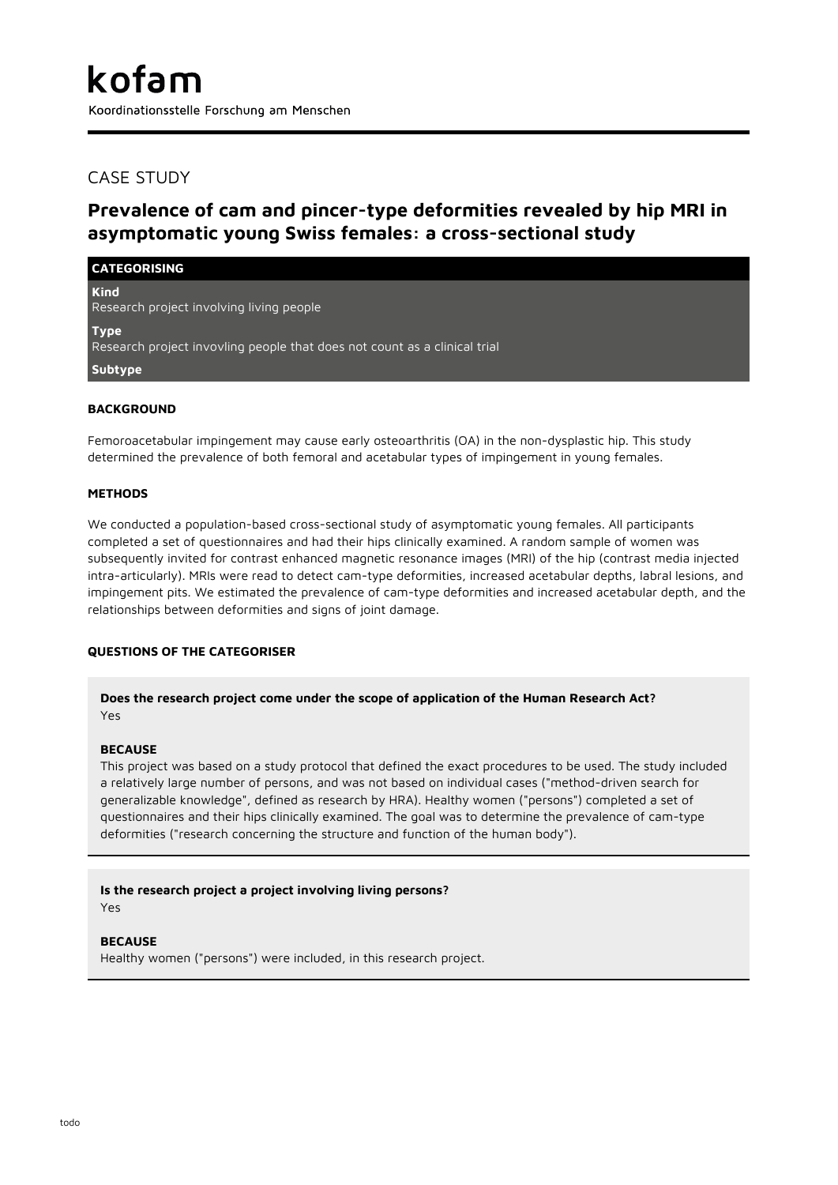# CASE STUDY

# **Prevalence of cam and pincer-type deformities revealed by hip MRI in asymptomatic young Swiss females: a cross-sectional study**

| <b>CATEGORISING</b>                                                                      |
|------------------------------------------------------------------------------------------|
| <b>Kind</b><br>Research project involving living people                                  |
| <b>Type</b><br>Research project invovling people that does not count as a clinical trial |
| Subtype                                                                                  |

## **BACKGROUND**

Femoroacetabular impingement may cause early osteoarthritis (OA) in the non-dysplastic hip. This study determined the prevalence of both femoral and acetabular types of impingement in young females.

## **METHODS**

We conducted a population-based cross-sectional study of asymptomatic young females. All participants completed a set of questionnaires and had their hips clinically examined. A random sample of women was subsequently invited for contrast enhanced magnetic resonance images (MRI) of the hip (contrast media injected intra-articularly). MRIs were read to detect cam-type deformities, increased acetabular depths, labral lesions, and impingement pits. We estimated the prevalence of cam-type deformities and increased acetabular depth, and the relationships between deformities and signs of joint damage.

#### **QUESTIONS OF THE CATEGORISER**

## **Does the research project come under the scope of application of the Human Research Act?** Yes

#### **BECAUSE**

This project was based on a study protocol that defined the exact procedures to be used. The study included a relatively large number of persons, and was not based on individual cases ("method-driven search for generalizable knowledge", defined as research by HRA). Healthy women ("persons") completed a set of questionnaires and their hips clinically examined. The goal was to determine the prevalence of cam-type deformities ("research concerning the structure and function of the human body").

**Is the research project a project involving living persons?** Yes

#### **BECAUSE**

Healthy women ("persons") were included, in this research project.